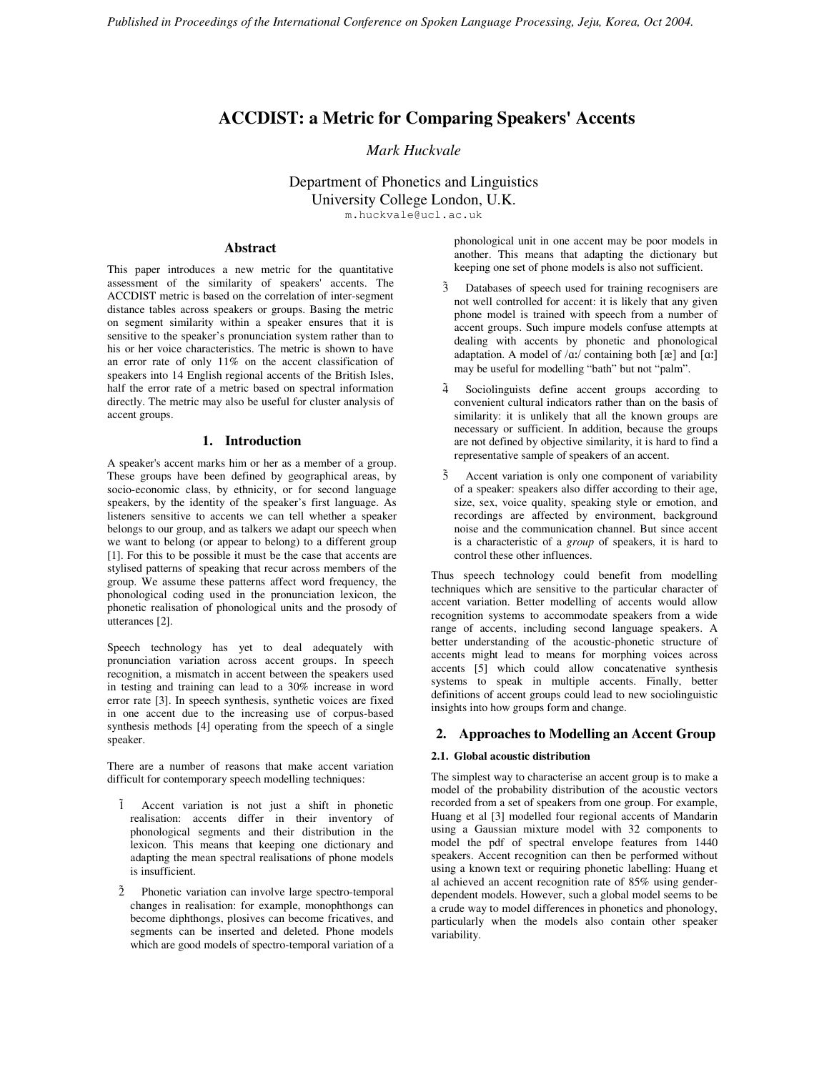# **ACCDIST: a Metric for Comparing Speakers' Accents**

# *Mark Huckvale*

Department of Phonetics and Linguistics University College London, U.K. m.huckvale@ucl.ac.uk

# **Abstract**

This paper introduces a new metric for the quantitative assessment of the similarity of speakers' accents. The ACCDIST metric is based on the correlation of inter-segment distance tables across speakers or groups. Basing the metric on segment similarity within a speaker ensures that it is sensitive to the speaker's pronunciation system rather than to his or her voice characteristics. The metric is shown to have an error rate of only 11% on the accent classification of speakers into 14 English regional accents of the British Isles, half the error rate of a metric based on spectral information directly. The metric may also be useful for cluster analysis of accent groups.

## **1. Introduction**

A speaker's accent marks him or her as a member of a group. These groups have been defined by geographical areas, by socio-economic class, by ethnicity, or for second language speakers, by the identity of the speaker's first language. As listeners sensitive to accents we can tell whether a speaker belongs to our group, and as talkers we adapt our speech when we want to belong (or appear to belong) to a different group [1]. For this to be possible it must be the case that accents are stylised patterns of speaking that recur across members of the group. We assume these patterns affect word frequency, the phonological coding used in the pronunciation lexicon, the phonetic realisation of phonological units and the prosody of utterances [2].

Speech technology has yet to deal adequately with pronunciation variation across accent groups. In speech recognition, a mismatch in accent between the speakers used in testing and training can lead to a 30% increase in word error rate [3]. In speech synthesis, synthetic voices are fixed in one accent due to the increasing use of corpus-based synthesis methods [4] operating from the speech of a single speaker.

There are a number of reasons that make accent variation difficult for contemporary speech modelling techniques:

- 1 Accent variation is not just a shift in phonetic realisation: accents differ in their inventory of phonological segments and their distribution in the lexicon. This means that keeping one dictionary and adapting the mean spectral realisations of phone models is insufficient.
- 2 Phonetic variation can involve large spectro-temporal changes in realisation: for example, monophthongs can become diphthongs, plosives can become fricatives, and segments can be inserted and deleted. Phone models which are good models of spectro-temporal variation of a

phonological unit in one accent may be poor models in another. This means that adapting the dictionary but keeping one set of phone models is also not sufficient.

- 3 Databases of speech used for training recognisers are not well controlled for accent: it is likely that any given phone model is trained with speech from a number of accent groups. Such impure models confuse attempts at dealing with accents by phonetic and phonological adaptation. A model of  $/\alpha$ :/ containing both [ $\alpha$ ] and [ $\alpha$ :] may be useful for modelling "bath" but not "palm".
- 4 Sociolinguists define accent groups according to convenient cultural indicators rather than on the basis of similarity: it is unlikely that all the known groups are necessary or sufficient. In addition, because the groups are not defined by objective similarity, it is hard to find a representative sample of speakers of an accent.
- $\tilde{5}$  Accent variation is only one component of variability of a speaker: speakers also differ according to their age, size, sex, voice quality, speaking style or emotion, and recordings are affected by environment, background noise and the communication channel. But since accent is a characteristic of a *group* of speakers, it is hard to control these other influences.

Thus speech technology could benefit from modelling techniques which are sensitive to the particular character of accent variation. Better modelling of accents would allow recognition systems to accommodate speakers from a wide range of accents, including second language speakers. A better understanding of the acoustic-phonetic structure of accents might lead to means for morphing voices across accents [5] which could allow concatenative synthesis systems to speak in multiple accents. Finally, better definitions of accent groups could lead to new sociolinguistic insights into how groups form and change.

#### **2. Approaches to Modelling an Accent Group**

#### **2.1. Global acoustic distribution**

The simplest way to characterise an accent group is to make a model of the probability distribution of the acoustic vectors recorded from a set of speakers from one group. For example, Huang et al [3] modelled four regional accents of Mandarin using a Gaussian mixture model with 32 components to model the pdf of spectral envelope features from 1440 speakers. Accent recognition can then be performed without using a known text or requiring phonetic labelling: Huang et al achieved an accent recognition rate of 85% using genderdependent models. However, such a global model seems to be a crude way to model differences in phonetics and phonology, particularly when the models also contain other speaker variability.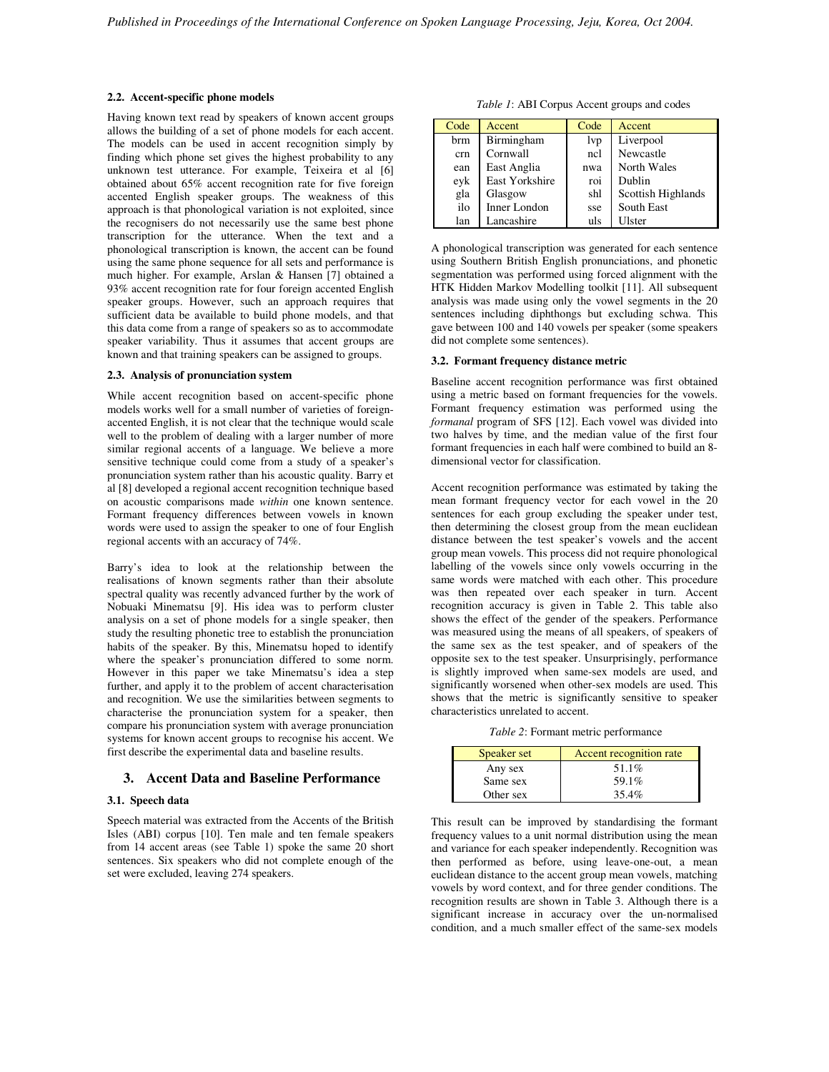#### **2.2. Accent-specific phone models**

Having known text read by speakers of known accent groups allows the building of a set of phone models for each accent. The models can be used in accent recognition simply by finding which phone set gives the highest probability to any unknown test utterance. For example, Teixeira et al [6] obtained about 65% accent recognition rate for five foreign accented English speaker groups. The weakness of this approach is that phonological variation is not exploited, since the recognisers do not necessarily use the same best phone transcription for the utterance. When the text and a phonological transcription is known, the accent can be found using the same phone sequence for all sets and performance is much higher. For example, Arslan & Hansen [7] obtained a 93% accent recognition rate for four foreign accented English speaker groups. However, such an approach requires that sufficient data be available to build phone models, and that this data come from a range of speakers so as to accommodate speaker variability. Thus it assumes that accent groups are known and that training speakers can be assigned to groups.

#### **2.3. Analysis of pronunciation system**

While accent recognition based on accent-specific phone models works well for a small number of varieties of foreignaccented English, it is not clear that the technique would scale well to the problem of dealing with a larger number of more similar regional accents of a language. We believe a more sensitive technique could come from a study of a speaker's pronunciation system rather than his acoustic quality. Barry et al [8] developed a regional accent recognition technique based on acoustic comparisons made *within* one known sentence. Formant frequency differences between vowels in known words were used to assign the speaker to one of four English regional accents with an accuracy of 74%.

Barry's idea to look at the relationship between the realisations of known segments rather than their absolute spectral quality was recently advanced further by the work of Nobuaki Minematsu [9]. His idea was to perform cluster analysis on a set of phone models for a single speaker, then study the resulting phonetic tree to establish the pronunciation habits of the speaker. By this, Minematsu hoped to identify where the speaker's pronunciation differed to some norm. However in this paper we take Minematsu's idea a step further, and apply it to the problem of accent characterisation and recognition. We use the similarities between segments to characterise the pronunciation system for a speaker, then compare his pronunciation system with average pronunciation systems for known accent groups to recognise his accent. We first describe the experimental data and baseline results.

### **3. Accent Data and Baseline Performance**

#### **3.1. Speech data**

Speech material was extracted from the Accents of the British Isles (ABI) corpus [10]. Ten male and ten female speakers from 14 accent areas (see Table 1) spoke the same 20 short sentences. Six speakers who did not complete enough of the set were excluded, leaving 274 speakers.

*Table 1*: ABI Corpus Accent groups and codes

| Code | Accent              | Code | <b>Accent</b>      |
|------|---------------------|------|--------------------|
| brm  | <b>Birmingham</b>   | lvp  | Liverpool          |
| crn  | Cornwall            | ncl  | Newcastle          |
| ean  | East Anglia         | nwa  | North Wales        |
| eyk  | East Yorkshire      | roi  | Dublin             |
| gla  | Glasgow             | shl  | Scottish Highlands |
| ilo  | <b>Inner London</b> | sse  | South East         |
| lan  | Lancashire          | uls  | Ulster             |

A phonological transcription was generated for each sentence using Southern British English pronunciations, and phonetic segmentation was performed using forced alignment with the HTK Hidden Markov Modelling toolkit [11]. All subsequent analysis was made using only the vowel segments in the 20 sentences including diphthongs but excluding schwa. This gave between 100 and 140 vowels per speaker (some speakers did not complete some sentences).

#### **3.2. Formant frequency distance metric**

Baseline accent recognition performance was first obtained using a metric based on formant frequencies for the vowels. Formant frequency estimation was performed using the *formanal* program of SFS [12]. Each vowel was divided into two halves by time, and the median value of the first four formant frequencies in each half were combined to build an 8 dimensional vector for classification.

Accent recognition performance was estimated by taking the mean formant frequency vector for each vowel in the 20 sentences for each group excluding the speaker under test, then determining the closest group from the mean euclidean distance between the test speaker's vowels and the accent group mean vowels. This process did not require phonological labelling of the vowels since only vowels occurring in the same words were matched with each other. This procedure was then repeated over each speaker in turn. Accent recognition accuracy is given in Table 2. This table also shows the effect of the gender of the speakers. Performance was measured using the means of all speakers, of speakers of the same sex as the test speaker, and of speakers of the opposite sex to the test speaker. Unsurprisingly, performance is slightly improved when same-sex models are used, and significantly worsened when other-sex models are used. This shows that the metric is significantly sensitive to speaker characteristics unrelated to accent.

*Table 2*: Formant metric performance

| Speaker set | <b>Accent recognition rate</b> |  |
|-------------|--------------------------------|--|
| Any sex     | 51.1%                          |  |
| Same sex    | 59.1%                          |  |
| Other sex   | 35.4%                          |  |

This result can be improved by standardising the formant frequency values to a unit normal distribution using the mean and variance for each speaker independently. Recognition was then performed as before, using leave-one-out, a mean euclidean distance to the accent group mean vowels, matching vowels by word context, and for three gender conditions. The recognition results are shown in Table 3. Although there is a significant increase in accuracy over the un-normalised condition, and a much smaller effect of the same-sex models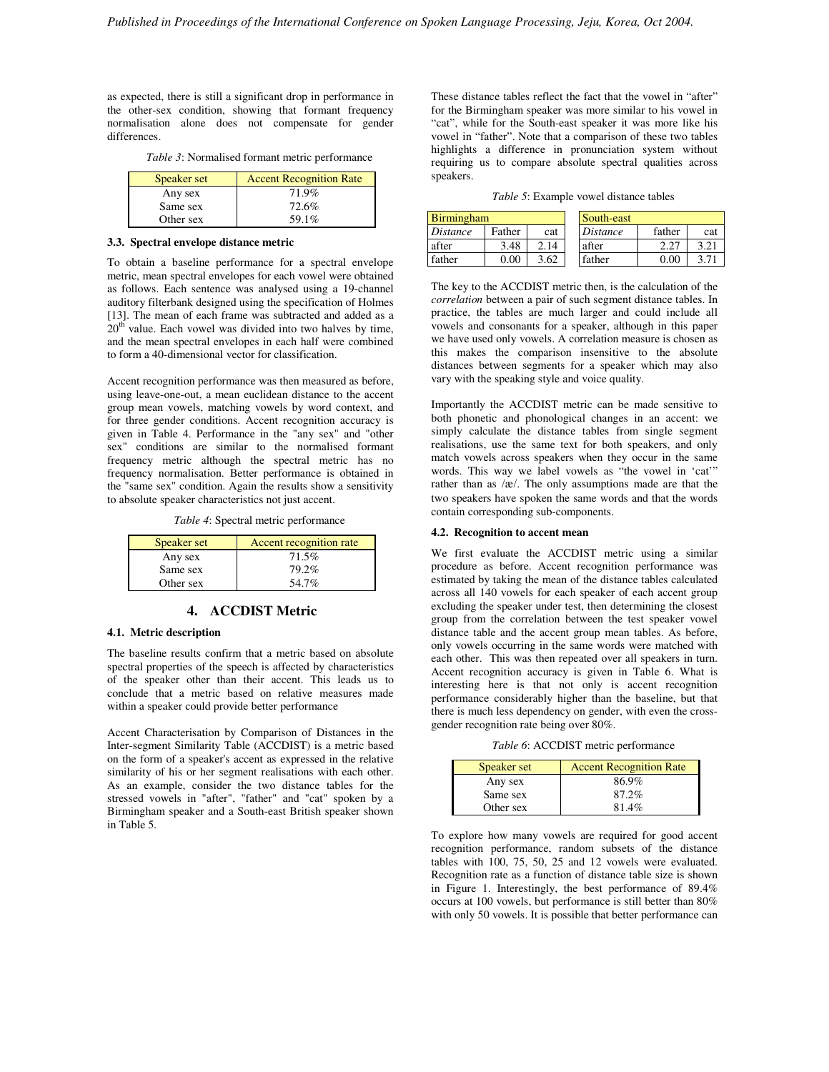as expected, there is still a significant drop in performance in the other-sex condition, showing that formant frequency normalisation alone does not compensate for gender differences.

| $C_{\text{model}}$ or of | $\Lambda$ coant Decorrition Deta |
|--------------------------|----------------------------------|

| Speaker set | <b>Accent Recognition Rate</b> |  |  |
|-------------|--------------------------------|--|--|
| Any sex     | 71.9%                          |  |  |
| Same sex    | 72.6%                          |  |  |
| Other sex   | 59.1%                          |  |  |

#### **3.3. Spectral envelope distance metric**

 $\blacksquare$ 

To obtain a baseline performance for a spectral envelope metric, mean spectral envelopes for each vowel were obtained as follows. Each sentence was analysed using a 19-channel auditory filterbank designed using the specification of Holmes [13]. The mean of each frame was subtracted and added as a  $20<sup>th</sup>$  value. Each vowel was divided into two halves by time, and the mean spectral envelopes in each half were combined to form a 40-dimensional vector for classification.

Accent recognition performance was then measured as before, using leave-one-out, a mean euclidean distance to the accent group mean vowels, matching vowels by word context, and for three gender conditions. Accent recognition accuracy is given in Table 4. Performance in the "any sex" and "other sex" conditions are similar to the normalised formant frequency metric although the spectral metric has no frequency normalisation. Better performance is obtained in the "same sex" condition. Again the results show a sensitivity to absolute speaker characteristics not just accent.

*Table 4*: Spectral metric performance

| Speaker set | Accent recognition rate |  |  |
|-------------|-------------------------|--|--|
| Any sex     | 71.5%                   |  |  |
| Same sex    | 79.2%                   |  |  |
| Other sex   | 54.7%                   |  |  |

# **4. ACCDIST Metric**

### **4.1. Metric description**

The baseline results confirm that a metric based on absolute spectral properties of the speech is affected by characteristics of the speaker other than their accent. This leads us to conclude that a metric based on relative measures made within a speaker could provide better performance

Accent Characterisation by Comparison of Distances in the Inter-segment Similarity Table (ACCDIST) is a metric based on the form of a speaker's accent as expressed in the relative similarity of his or her segment realisations with each other. As an example, consider the two distance tables for the stressed vowels in "after", "father" and "cat" spoken by a Birmingham speaker and a South-east British speaker shown in Table 5.

These distance tables reflect the fact that the vowel in "after" for the Birmingham speaker was more similar to his vowel in "cat", while for the South-east speaker it was more like his vowel in "father". Note that a comparison of these two tables highlights a difference in pronunciation system without requiring us to compare absolute spectral qualities across speakers.

*Table 5*: Example vowel distance tables

| <b>Birmingham</b> |        |      | South-east |        |     |
|-------------------|--------|------|------------|--------|-----|
| Distance          | Father | cat  | Distance   | father | cat |
| after             | 3.48   | 2.14 | after      |        |     |
| father            | 0.00   | 3.62 | father     | 0.00   |     |

The key to the ACCDIST metric then, is the calculation of the *correlation* between a pair of such segment distance tables. In practice, the tables are much larger and could include all vowels and consonants for a speaker, although in this paper we have used only vowels. A correlation measure is chosen as this makes the comparison insensitive to the absolute distances between segments for a speaker which may also vary with the speaking style and voice quality.

Importantly the ACCDIST metric can be made sensitive to both phonetic and phonological changes in an accent: we simply calculate the distance tables from single segment realisations, use the same text for both speakers, and only match vowels across speakers when they occur in the same words. This way we label vowels as "the vowel in 'cat'" rather than as  $\alpha$ . The only assumptions made are that the two speakers have spoken the same words and that the words contain corresponding sub-components.

#### **4.2. Recognition to accent mean**

We first evaluate the ACCDIST metric using a similar procedure as before. Accent recognition performance was estimated by taking the mean of the distance tables calculated across all 140 vowels for each speaker of each accent group excluding the speaker under test, then determining the closest group from the correlation between the test speaker vowel distance table and the accent group mean tables. As before, only vowels occurring in the same words were matched with each other. This was then repeated over all speakers in turn. Accent recognition accuracy is given in Table 6. What is interesting here is that not only is accent recognition performance considerably higher than the baseline, but that there is much less dependency on gender, with even the crossgender recognition rate being over 80%.

*Table 6*: ACCDIST metric performance

| Speaker set | <b>Accent Recognition Rate</b> |  |  |
|-------------|--------------------------------|--|--|
| Any sex     | 86.9%                          |  |  |
| Same sex    | 87.2%                          |  |  |
| Other sex   | 81.4%                          |  |  |

To explore how many vowels are required for good accent recognition performance, random subsets of the distance tables with 100, 75, 50, 25 and 12 vowels were evaluated. Recognition rate as a function of distance table size is shown in Figure 1. Interestingly, the best performance of 89.4% occurs at 100 vowels, but performance is still better than 80% with only 50 vowels. It is possible that better performance can